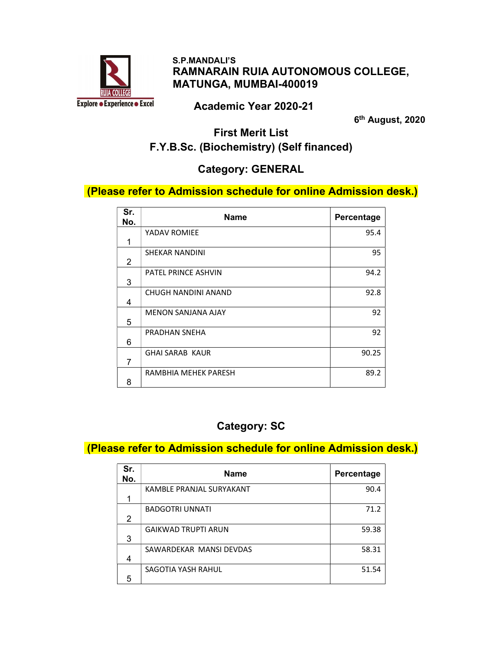

#### S.P.MANDALI'S RAMNARAIN RUIA AUTONOMOUS COLLEGE, MATUNGA, MUMBAI-400019

#### Academic Year 2020-21

6<sup>th</sup> August, 2020

# First Merit List F.Y.B.Sc. (Biochemistry) (Self financed)

## Category: GENERAL

### (Please refer to Admission schedule for online Admission desk.)

| Sr.<br>No. | Name                      | Percentage |
|------------|---------------------------|------------|
| 1          | YADAV ROMIEE              | 95.4       |
| 2          | SHEKAR NANDINI            | 95         |
| 3          | PATEL PRINCE ASHVIN       | 94.2       |
| 4          | CHUGH NANDINI ANAND       | 92.8       |
| 5          | <b>MENON SANJANA AJAY</b> | 92         |
| 6          | PRADHAN SNEHA             | 92         |
| 7          | <b>GHAI SARAB KAUR</b>    | 90.25      |
| 8          | RAMBHIA MEHEK PARESH      | 89.2       |

# Category: SC

#### (Please refer to Admission schedule for online Admission desk.)

| Sr.<br>No. | <b>Name</b>                | Percentage |
|------------|----------------------------|------------|
|            | KAMBLE PRANJAL SURYAKANT   | 90.4       |
|            |                            |            |
|            | <b>BADGOTRI UNNATI</b>     | 71.2       |
| 2          |                            |            |
|            | <b>GAIKWAD TRUPTI ARUN</b> | 59.38      |
| 3          |                            |            |
|            | SAWARDEKAR MANSI DEVDAS    | 58.31      |
| 4          |                            |            |
|            | SAGOTIA YASH RAHUL         | 51.54      |
| 5          |                            |            |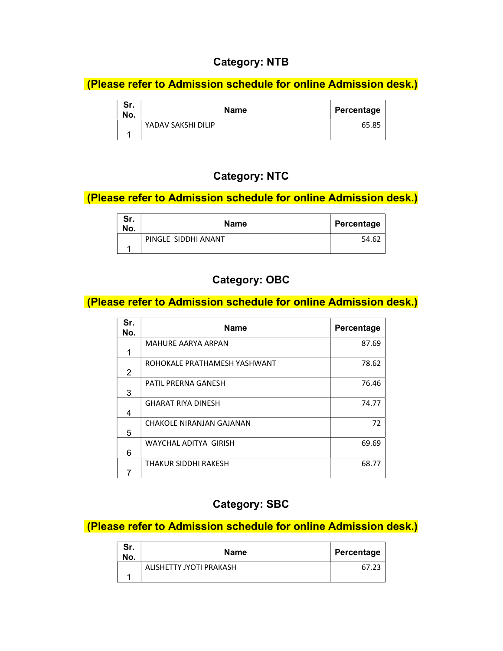## Category: NTB

(Please refer to Admission schedule for online Admission desk.)

| Sr.<br>No. | <b>Name</b>        | Percentage |
|------------|--------------------|------------|
|            | YADAV SAKSHI DILIP | 65.85      |
|            |                    |            |

# Category: NTC

### (Please refer to Admission schedule for online Admission desk.)

| Sr.<br>No. | <b>Name</b>         | Percentage |
|------------|---------------------|------------|
|            | PINGLE SIDDHI ANANT | 54.62      |
|            |                     |            |

# Category: OBC

### (Please refer to Admission schedule for online Admission desk.)

| Sr.<br>No. | <b>Name</b>                  | Percentage |
|------------|------------------------------|------------|
|            | <b>MAHURE AARYA ARPAN</b>    | 87.69      |
| 2          | ROHOKALE PRATHAMESH YASHWANT | 78.62      |
| 3          | PATIL PRERNA GANESH          | 76.46      |
| 4          | <b>GHARAT RIYA DINESH</b>    | 74.77      |
| 5          | CHAKOLE NIRANJAN GAJANAN     | 72         |
| 6          | WAYCHAL ADITYA GIRISH        | 69.69      |
|            | THAKUR SIDDHI RAKESH         | 68.77      |

## Category: SBC

(Please refer to Admission schedule for online Admission desk.)

| Sr.<br>No. | <b>Name</b>             | Percentage |
|------------|-------------------------|------------|
|            | ALISHETTY JYOTI PRAKASH | 67.23      |
|            |                         |            |